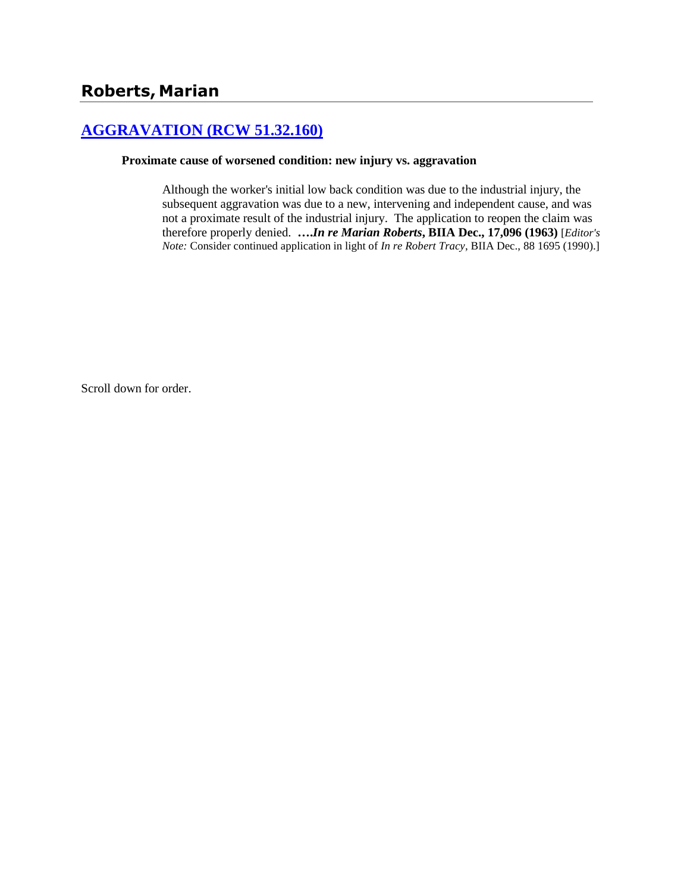# **[AGGRAVATION \(RCW 51.32.160\)](http://www.biia.wa.gov/SDSubjectIndex.html#AGGRAVATION)**

#### **Proximate cause of worsened condition: new injury vs. aggravation**

Although the worker's initial low back condition was due to the industrial injury, the subsequent aggravation was due to a new, intervening and independent cause, and was not a proximate result of the industrial injury. The application to reopen the claim was therefore properly denied. **….***In re Marian Roberts***, BIIA Dec., 17,096 (1963)** [*Editor's Note:* Consider continued application in light of *In re Robert Tracy*, BIIA Dec., 88 1695 (1990).]

Scroll down for order.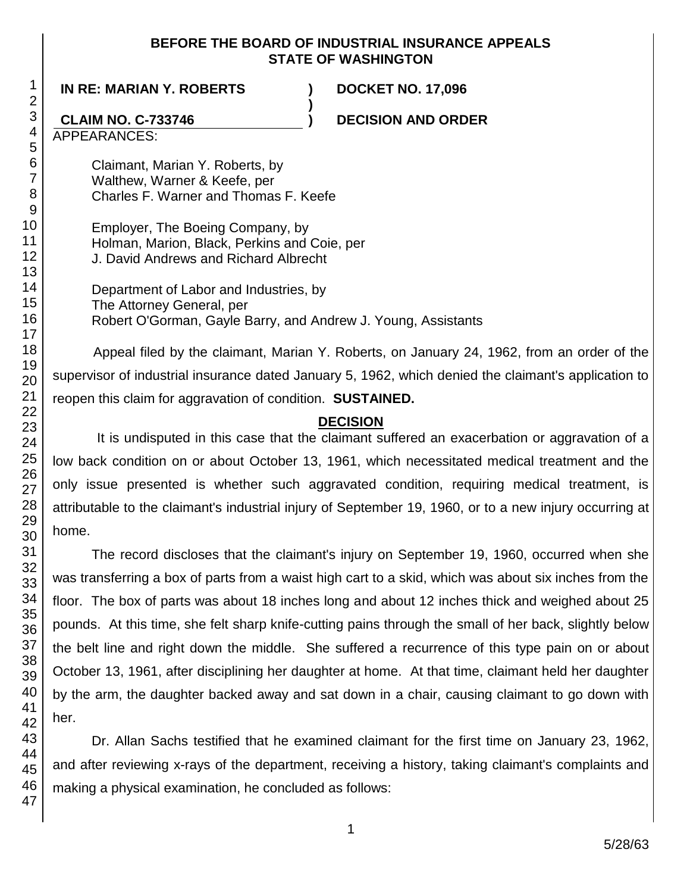### **BEFORE THE BOARD OF INDUSTRIAL INSURANCE APPEALS STATE OF WASHINGTON**

**)**

**IN RE: MARIAN Y. ROBERTS ) DOCKET NO. 17,096**

# **CLAIM NO. C-733746 ) DECISION AND ORDER**

APPEARANCES:

Claimant, Marian Y. Roberts, by Walthew, Warner & Keefe, per Charles F. Warner and Thomas F. Keefe

Employer, The Boeing Company, by Holman, Marion, Black, Perkins and Coie, per J. David Andrews and Richard Albrecht

Department of Labor and Industries, by The Attorney General, per Robert O'Gorman, Gayle Barry, and Andrew J. Young, Assistants

Appeal filed by the claimant, Marian Y. Roberts, on January 24, 1962, from an order of the supervisor of industrial insurance dated January 5, 1962, which denied the claimant's application to reopen this claim for aggravation of condition. **SUSTAINED.**

# **DECISION**

It is undisputed in this case that the claimant suffered an exacerbation or aggravation of a low back condition on or about October 13, 1961, which necessitated medical treatment and the only issue presented is whether such aggravated condition, requiring medical treatment, is attributable to the claimant's industrial injury of September 19, 1960, or to a new injury occurring at home.

The record discloses that the claimant's injury on September 19, 1960, occurred when she was transferring a box of parts from a waist high cart to a skid, which was about six inches from the floor. The box of parts was about 18 inches long and about 12 inches thick and weighed about 25 pounds. At this time, she felt sharp knife-cutting pains through the small of her back, slightly below the belt line and right down the middle. She suffered a recurrence of this type pain on or about October 13, 1961, after disciplining her daughter at home. At that time, claimant held her daughter by the arm, the daughter backed away and sat down in a chair, causing claimant to go down with her.

Dr. Allan Sachs testified that he examined claimant for the first time on January 23, 1962, and after reviewing x-rays of the department, receiving a history, taking claimant's complaints and making a physical examination, he concluded as follows:

1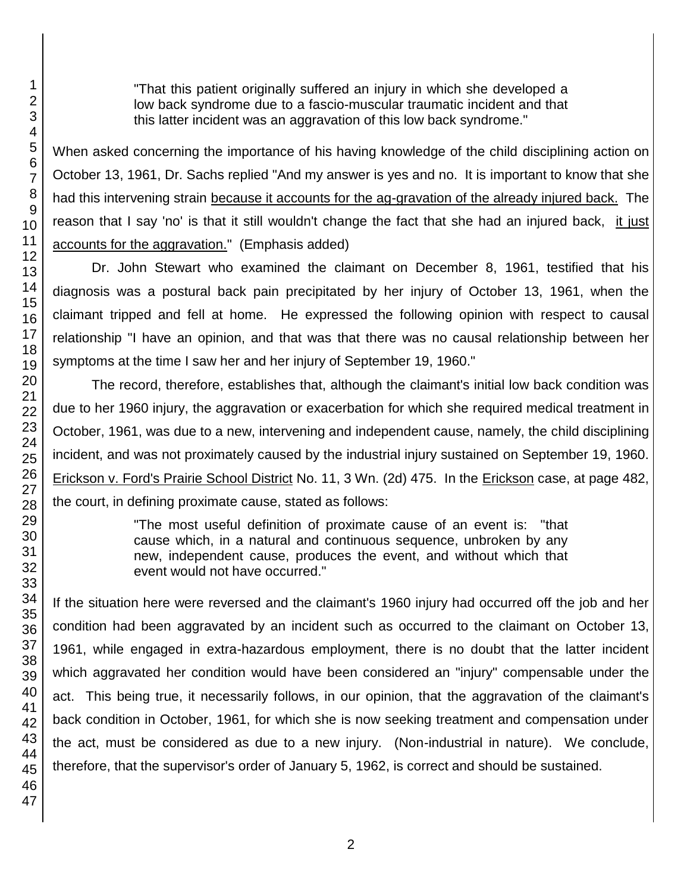"That this patient originally suffered an injury in which she developed a low back syndrome due to a fascio-muscular traumatic incident and that this latter incident was an aggravation of this low back syndrome."

When asked concerning the importance of his having knowledge of the child disciplining action on October 13, 1961, Dr. Sachs replied "And my answer is yes and no. It is important to know that she had this intervening strain because it accounts for the ag-gravation of the already injured back. The reason that I say 'no' is that it still wouldn't change the fact that she had an injured back, it just accounts for the aggravation." (Emphasis added)

Dr. John Stewart who examined the claimant on December 8, 1961, testified that his diagnosis was a postural back pain precipitated by her injury of October 13, 1961, when the claimant tripped and fell at home. He expressed the following opinion with respect to causal relationship "I have an opinion, and that was that there was no causal relationship between her symptoms at the time I saw her and her injury of September 19, 1960."

The record, therefore, establishes that, although the claimant's initial low back condition was due to her 1960 injury, the aggravation or exacerbation for which she required medical treatment in October, 1961, was due to a new, intervening and independent cause, namely, the child disciplining incident, and was not proximately caused by the industrial injury sustained on September 19, 1960. Erickson v. Ford's Prairie School District No. 11, 3 Wn. (2d) 475. In the Erickson case, at page 482, the court, in defining proximate cause, stated as follows:

> "The most useful definition of proximate cause of an event is: "that cause which, in a natural and continuous sequence, unbroken by any new, independent cause, produces the event, and without which that event would not have occurred."

If the situation here were reversed and the claimant's 1960 injury had occurred off the job and her condition had been aggravated by an incident such as occurred to the claimant on October 13, 1961, while engaged in extra-hazardous employment, there is no doubt that the latter incident which aggravated her condition would have been considered an "injury" compensable under the act. This being true, it necessarily follows, in our opinion, that the aggravation of the claimant's back condition in October, 1961, for which she is now seeking treatment and compensation under the act, must be considered as due to a new injury. (Non-industrial in nature). We conclude, therefore, that the supervisor's order of January 5, 1962, is correct and should be sustained.